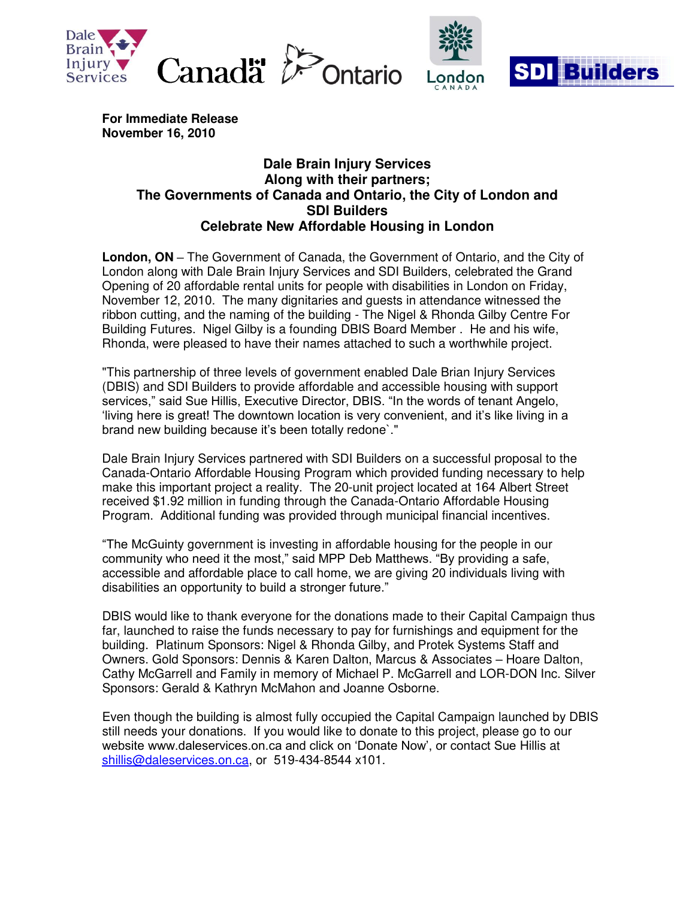



**For Immediate Release November 16, 2010** 

## **Dale Brain Injury Services Along with their partners; The Governments of Canada and Ontario, the City of London and SDI Builders Celebrate New Affordable Housing in London**

**London, ON –** The Government of Canada, the Government of Ontario, and the City of London along with Dale Brain Injury Services and SDI Builders, celebrated the Grand Opening of 20 affordable rental units for people with disabilities in London on Friday, November 12, 2010. The many dignitaries and guests in attendance witnessed the ribbon cutting, and the naming of the building - The Nigel & Rhonda Gilby Centre For Building Futures. Nigel Gilby is a founding DBIS Board Member . He and his wife, Rhonda, were pleased to have their names attached to such a worthwhile project.

"This partnership of three levels of government enabled Dale Brian Injury Services (DBIS) and SDI Builders to provide affordable and accessible housing with support services," said Sue Hillis, Executive Director, DBIS. "In the words of tenant Angelo, "living here is great! The downtown location is very convenient, and it"s like living in a brand new building because it's been totally redone'."

Dale Brain Injury Services partnered with SDI Builders on a successful proposal to the Canada-Ontario Affordable Housing Program which provided funding necessary to help make this important project a reality. The 20-unit project located at 164 Albert Street received \$1.92 million in funding through the Canada-Ontario Affordable Housing Program. Additional funding was provided through municipal financial incentives.

"The McGuinty government is investing in affordable housing for the people in our community who need it the most," said MPP Deb Matthews. "By providing a safe, accessible and affordable place to call home, we are giving 20 individuals living with disabilities an opportunity to build a stronger future."

DBIS would like to thank everyone for the donations made to their Capital Campaign thus far, launched to raise the funds necessary to pay for furnishings and equipment for the building. Platinum Sponsors: Nigel & Rhonda Gilby, and Protek Systems Staff and Owners. Gold Sponsors: Dennis & Karen Dalton, Marcus & Associates – Hoare Dalton, Cathy McGarrell and Family in memory of Michael P. McGarrell and LOR-DON Inc. Silver Sponsors: Gerald & Kathryn McMahon and Joanne Osborne.

Even though the building is almost fully occupied the Capital Campaign launched by DBIS still needs your donations. If you would like to donate to this project, please go to our website www.daleservices.on.ca and click on "Donate Now", or contact Sue Hillis at [shillis@daleservices.on.ca,](mailto:shillis@daleservices.on.ca) or 519-434-8544 x101.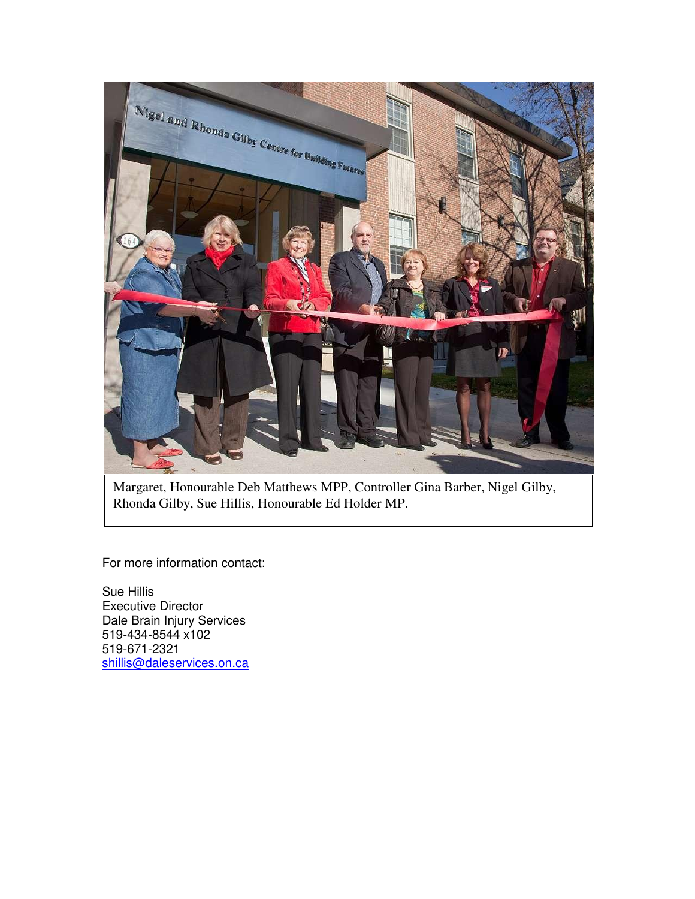

Margaret, Honourable Deb Matthews MPP, Controller Gina Barber, Nigel Gilby, Rhonda Gilby, Sue Hillis, Honourable Ed Holder MP.

For more information contact:

Sue Hillis Executive Director Dale Brain Injury Services 519-434-8544 x102 519-671-2321 [shillis@daleservices.on.ca](mailto:shillis@daleservices.on.ca)